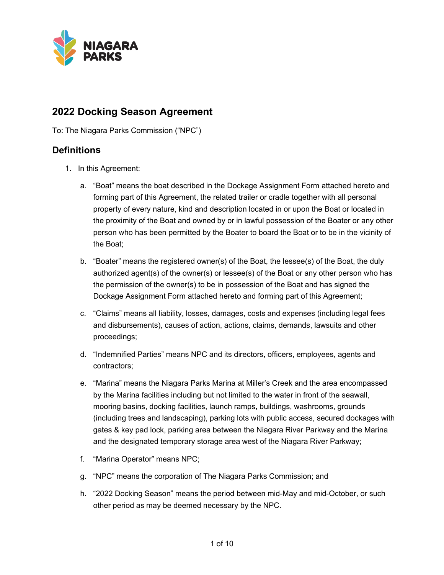

# **2022 Docking Season Agreement**

To: The Niagara Parks Commission ("NPC")

### **Definitions**

- 1. In this Agreement:
	- a. "Boat" means the boat described in the Dockage Assignment Form attached hereto and forming part of this Agreement, the related trailer or cradle together with all personal property of every nature, kind and description located in or upon the Boat or located in the proximity of the Boat and owned by or in lawful possession of the Boater or any other person who has been permitted by the Boater to board the Boat or to be in the vicinity of the Boat;
	- b. "Boater" means the registered owner(s) of the Boat, the lessee(s) of the Boat, the duly authorized agent(s) of the owner(s) or lessee(s) of the Boat or any other person who has the permission of the owner(s) to be in possession of the Boat and has signed the Dockage Assignment Form attached hereto and forming part of this Agreement;
	- c. "Claims" means all liability, losses, damages, costs and expenses (including legal fees and disbursements), causes of action, actions, claims, demands, lawsuits and other proceedings;
	- d. "Indemnified Parties" means NPC and its directors, officers, employees, agents and contractors;
	- e. "Marina" means the Niagara Parks Marina at Miller's Creek and the area encompassed by the Marina facilities including but not limited to the water in front of the seawall, mooring basins, docking facilities, launch ramps, buildings, washrooms, grounds (including trees and landscaping), parking lots with public access, secured dockages with gates & key pad lock, parking area between the Niagara River Parkway and the Marina and the designated temporary storage area west of the Niagara River Parkway;
	- f. "Marina Operator" means NPC;
	- g. "NPC" means the corporation of The Niagara Parks Commission; and
	- h. "2022 Docking Season" means the period between mid-May and mid-October, or such other period as may be deemed necessary by the NPC.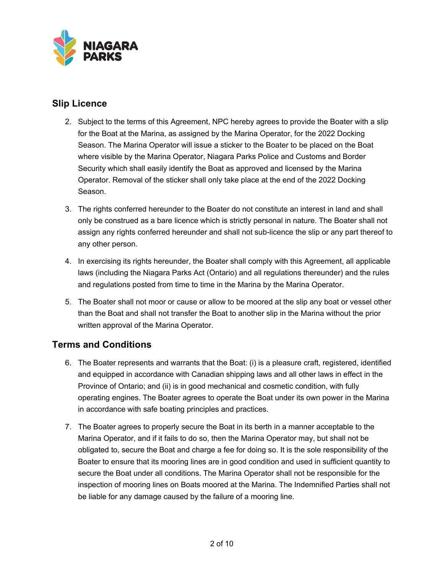

## **Slip Licence**

- 2. Subject to the terms of this Agreement, NPC hereby agrees to provide the Boater with a slip for the Boat at the Marina, as assigned by the Marina Operator, for the 2022 Docking Season. The Marina Operator will issue a sticker to the Boater to be placed on the Boat where visible by the Marina Operator, Niagara Parks Police and Customs and Border Security which shall easily identify the Boat as approved and licensed by the Marina Operator. Removal of the sticker shall only take place at the end of the 2022 Docking Season.
- 3. The rights conferred hereunder to the Boater do not constitute an interest in land and shall only be construed as a bare licence which is strictly personal in nature. The Boater shall not assign any rights conferred hereunder and shall not sub-licence the slip or any part thereof to any other person.
- 4. In exercising its rights hereunder, the Boater shall comply with this Agreement, all applicable laws (including the Niagara Parks Act (Ontario) and all regulations thereunder) and the rules and regulations posted from time to time in the Marina by the Marina Operator.
- 5. The Boater shall not moor or cause or allow to be moored at the slip any boat or vessel other than the Boat and shall not transfer the Boat to another slip in the Marina without the prior written approval of the Marina Operator.

# **Terms and Conditions**

- 6. The Boater represents and warrants that the Boat: (i) is a pleasure craft, registered, identified and equipped in accordance with Canadian shipping laws and all other laws in effect in the Province of Ontario; and (ii) is in good mechanical and cosmetic condition, with fully operating engines. The Boater agrees to operate the Boat under its own power in the Marina in accordance with safe boating principles and practices.
- 7. The Boater agrees to properly secure the Boat in its berth in a manner acceptable to the Marina Operator, and if it fails to do so, then the Marina Operator may, but shall not be obligated to, secure the Boat and charge a fee for doing so. It is the sole responsibility of the Boater to ensure that its mooring lines are in good condition and used in sufficient quantity to secure the Boat under all conditions. The Marina Operator shall not be responsible for the inspection of mooring lines on Boats moored at the Marina. The Indemnified Parties shall not be liable for any damage caused by the failure of a mooring line.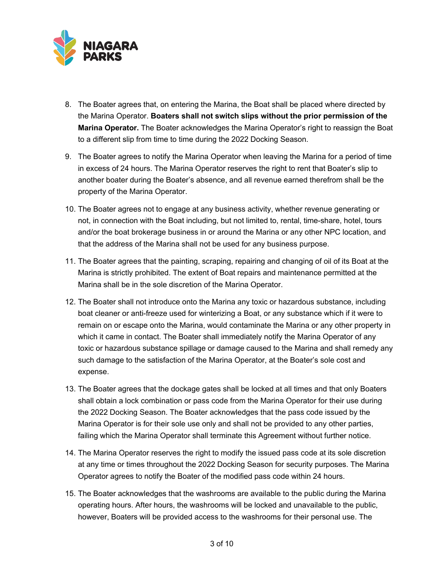

- 8. The Boater agrees that, on entering the Marina, the Boat shall be placed where directed by the Marina Operator. **Boaters shall not switch slips without the prior permission of the Marina Operator.** The Boater acknowledges the Marina Operator's right to reassign the Boat to a different slip from time to time during the 2022 Docking Season.
- 9. The Boater agrees to notify the Marina Operator when leaving the Marina for a period of time in excess of 24 hours. The Marina Operator reserves the right to rent that Boater's slip to another boater during the Boater's absence, and all revenue earned therefrom shall be the property of the Marina Operator.
- 10. The Boater agrees not to engage at any business activity, whether revenue generating or not, in connection with the Boat including, but not limited to, rental, time-share, hotel, tours and/or the boat brokerage business in or around the Marina or any other NPC location, and that the address of the Marina shall not be used for any business purpose.
- 11. The Boater agrees that the painting, scraping, repairing and changing of oil of its Boat at the Marina is strictly prohibited. The extent of Boat repairs and maintenance permitted at the Marina shall be in the sole discretion of the Marina Operator.
- 12. The Boater shall not introduce onto the Marina any toxic or hazardous substance, including boat cleaner or anti-freeze used for winterizing a Boat, or any substance which if it were to remain on or escape onto the Marina, would contaminate the Marina or any other property in which it came in contact. The Boater shall immediately notify the Marina Operator of any toxic or hazardous substance spillage or damage caused to the Marina and shall remedy any such damage to the satisfaction of the Marina Operator, at the Boater's sole cost and expense.
- 13. The Boater agrees that the dockage gates shall be locked at all times and that only Boaters shall obtain a lock combination or pass code from the Marina Operator for their use during the 2022 Docking Season. The Boater acknowledges that the pass code issued by the Marina Operator is for their sole use only and shall not be provided to any other parties, failing which the Marina Operator shall terminate this Agreement without further notice.
- 14. The Marina Operator reserves the right to modify the issued pass code at its sole discretion at any time or times throughout the 2022 Docking Season for security purposes. The Marina Operator agrees to notify the Boater of the modified pass code within 24 hours.
- 15. The Boater acknowledges that the washrooms are available to the public during the Marina operating hours. After hours, the washrooms will be locked and unavailable to the public, however, Boaters will be provided access to the washrooms for their personal use. The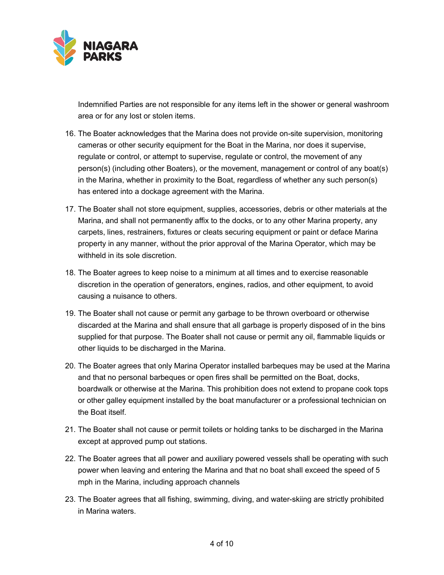

Indemnified Parties are not responsible for any items left in the shower or general washroom area or for any lost or stolen items.

- 16. The Boater acknowledges that the Marina does not provide on-site supervision, monitoring cameras or other security equipment for the Boat in the Marina, nor does it supervise, regulate or control, or attempt to supervise, regulate or control, the movement of any person(s) (including other Boaters), or the movement, management or control of any boat(s) in the Marina, whether in proximity to the Boat, regardless of whether any such person(s) has entered into a dockage agreement with the Marina.
- 17. The Boater shall not store equipment, supplies, accessories, debris or other materials at the Marina, and shall not permanently affix to the docks, or to any other Marina property, any carpets, lines, restrainers, fixtures or cleats securing equipment or paint or deface Marina property in any manner, without the prior approval of the Marina Operator, which may be withheld in its sole discretion.
- 18. The Boater agrees to keep noise to a minimum at all times and to exercise reasonable discretion in the operation of generators, engines, radios, and other equipment, to avoid causing a nuisance to others.
- 19. The Boater shall not cause or permit any garbage to be thrown overboard or otherwise discarded at the Marina and shall ensure that all garbage is properly disposed of in the bins supplied for that purpose. The Boater shall not cause or permit any oil, flammable liquids or other liquids to be discharged in the Marina.
- 20. The Boater agrees that only Marina Operator installed barbeques may be used at the Marina and that no personal barbeques or open fires shall be permitted on the Boat, docks, boardwalk or otherwise at the Marina. This prohibition does not extend to propane cook tops or other galley equipment installed by the boat manufacturer or a professional technician on the Boat itself.
- 21. The Boater shall not cause or permit toilets or holding tanks to be discharged in the Marina except at approved pump out stations.
- 22. The Boater agrees that all power and auxiliary powered vessels shall be operating with such power when leaving and entering the Marina and that no boat shall exceed the speed of 5 mph in the Marina, including approach channels
- 23. The Boater agrees that all fishing, swimming, diving, and water-skiing are strictly prohibited in Marina waters.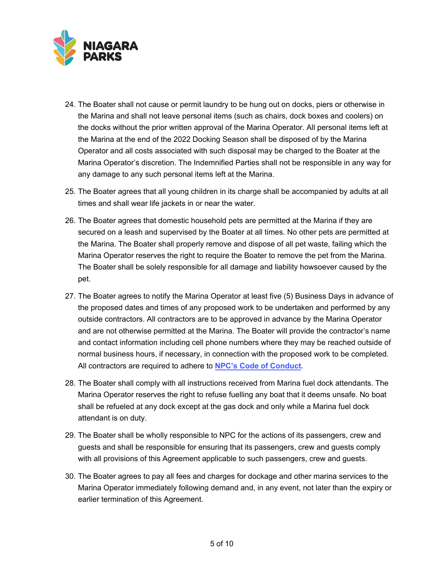

- 24. The Boater shall not cause or permit laundry to be hung out on docks, piers or otherwise in the Marina and shall not leave personal items (such as chairs, dock boxes and coolers) on the docks without the prior written approval of the Marina Operator. All personal items left at the Marina at the end of the 2022 Docking Season shall be disposed of by the Marina Operator and all costs associated with such disposal may be charged to the Boater at the Marina Operator's discretion. The Indemnified Parties shall not be responsible in any way for any damage to any such personal items left at the Marina.
- 25. The Boater agrees that all young children in its charge shall be accompanied by adults at all times and shall wear life jackets in or near the water.
- 26. The Boater agrees that domestic household pets are permitted at the Marina if they are secured on a leash and supervised by the Boater at all times. No other pets are permitted at the Marina. The Boater shall properly remove and dispose of all pet waste, failing which the Marina Operator reserves the right to require the Boater to remove the pet from the Marina. The Boater shall be solely responsible for all damage and liability howsoever caused by the pet.
- 27. The Boater agrees to notify the Marina Operator at least five (5) Business Days in advance of the proposed dates and times of any proposed work to be undertaken and performed by any outside contractors. All contractors are to be approved in advance by the Marina Operator and are not otherwise permitted at the Marina. The Boater will provide the contractor's name and contact information including cell phone numbers where they may be reached outside of normal business hours, if necessary, in connection with the proposed work to be completed. All contractors are required to adhere to **[NPC's Code of Conduct](https://www.niagaraparks.com/?mdocs-file=23065).**
- 28. The Boater shall comply with all instructions received from Marina fuel dock attendants. The Marina Operator reserves the right to refuse fuelling any boat that it deems unsafe. No boat shall be refueled at any dock except at the gas dock and only while a Marina fuel dock attendant is on duty.
- 29. The Boater shall be wholly responsible to NPC for the actions of its passengers, crew and guests and shall be responsible for ensuring that its passengers, crew and guests comply with all provisions of this Agreement applicable to such passengers, crew and guests.
- 30. The Boater agrees to pay all fees and charges for dockage and other marina services to the Marina Operator immediately following demand and, in any event, not later than the expiry or earlier termination of this Agreement.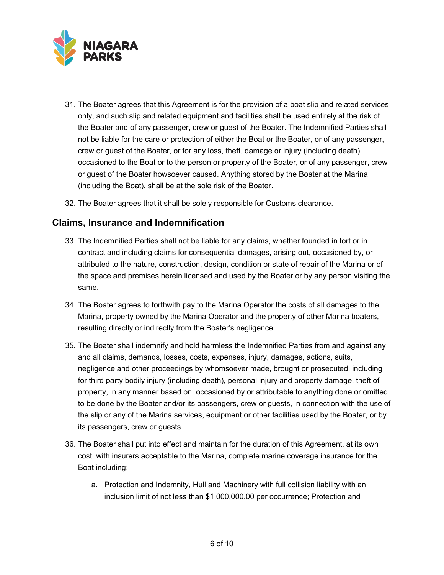

- 31. The Boater agrees that this Agreement is for the provision of a boat slip and related services only, and such slip and related equipment and facilities shall be used entirely at the risk of the Boater and of any passenger, crew or guest of the Boater. The Indemnified Parties shall not be liable for the care or protection of either the Boat or the Boater, or of any passenger, crew or guest of the Boater, or for any loss, theft, damage or injury (including death) occasioned to the Boat or to the person or property of the Boater, or of any passenger, crew or guest of the Boater howsoever caused. Anything stored by the Boater at the Marina (including the Boat), shall be at the sole risk of the Boater.
- 32. The Boater agrees that it shall be solely responsible for Customs clearance.

#### **Claims, Insurance and Indemnification**

- 33. The Indemnified Parties shall not be liable for any claims, whether founded in tort or in contract and including claims for consequential damages, arising out, occasioned by, or attributed to the nature, construction, design, condition or state of repair of the Marina or of the space and premises herein licensed and used by the Boater or by any person visiting the same.
- 34. The Boater agrees to forthwith pay to the Marina Operator the costs of all damages to the Marina, property owned by the Marina Operator and the property of other Marina boaters, resulting directly or indirectly from the Boater's negligence.
- 35. The Boater shall indemnify and hold harmless the Indemnified Parties from and against any and all claims, demands, losses, costs, expenses, injury, damages, actions, suits, negligence and other proceedings by whomsoever made, brought or prosecuted, including for third party bodily injury (including death), personal injury and property damage, theft of property, in any manner based on, occasioned by or attributable to anything done or omitted to be done by the Boater and/or its passengers, crew or guests, in connection with the use of the slip or any of the Marina services, equipment or other facilities used by the Boater, or by its passengers, crew or guests.
- 36. The Boater shall put into effect and maintain for the duration of this Agreement, at its own cost, with insurers acceptable to the Marina, complete marine coverage insurance for the Boat including:
	- a. Protection and Indemnity, Hull and Machinery with full collision liability with an inclusion limit of not less than \$1,000,000.00 per occurrence; Protection and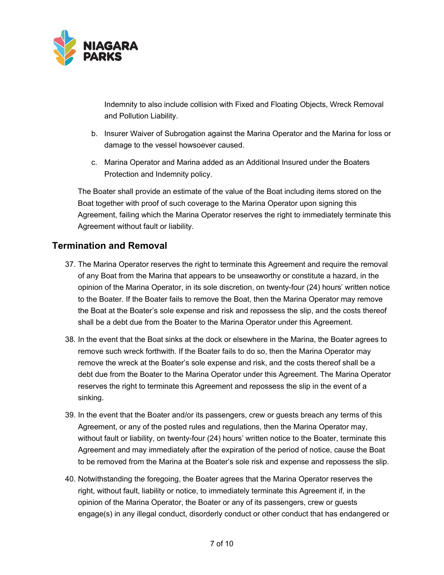

Indemnity to also include collision with Fixed and Floating Objects, Wreck Removal and Pollution Liability.

- b. Insurer Waiver of Subrogation against the Marina Operator and the Marina for loss or damage to the vessel howsoever caused.
- c. Marina Operator and Marina added as an Additional Insured under the Boaters Protection and Indemnity policy.

The Boater shall provide an estimate of the value of the Boat including items stored on the Boat together with proof of such coverage to the Marina Operator upon signing this Agreement, failing which the Marina Operator reserves the right to immediately terminate this Agreement without fault or liability.

### **Termination and Removal**

- 37. The Marina Operator reserves the right to terminate this Agreement and require the removal of any Boat from the Marina that appears to be unseaworthy or constitute a hazard, in the opinion of the Marina Operator, in its sole discretion, on twenty-four (24) hours' written notice to the Boater. If the Boater fails to remove the Boat, then the Marina Operator may remove the Boat at the Boater's sole expense and risk and repossess the slip, and the costs thereof shall be a debt due from the Boater to the Marina Operator under this Agreement.
- 38. In the event that the Boat sinks at the dock or elsewhere in the Marina, the Boater agrees to remove such wreck forthwith. If the Boater fails to do so, then the Marina Operator may remove the wreck at the Boater's sole expense and risk, and the costs thereof shall be a debt due from the Boater to the Marina Operator under this Agreement. The Marina Operator reserves the right to terminate this Agreement and repossess the slip in the event of a sinking.
- 39. In the event that the Boater and/or its passengers, crew or guests breach any terms of this Agreement, or any of the posted rules and regulations, then the Marina Operator may, without fault or liability, on twenty-four (24) hours' written notice to the Boater, terminate this Agreement and may immediately after the expiration of the period of notice, cause the Boat to be removed from the Marina at the Boater's sole risk and expense and repossess the slip.
- 40. Notwithstanding the foregoing, the Boater agrees that the Marina Operator reserves the right, without fault, liability or notice, to immediately terminate this Agreement if, in the opinion of the Marina Operator, the Boater or any of its passengers, crew or guests engage(s) in any illegal conduct, disorderly conduct or other conduct that has endangered or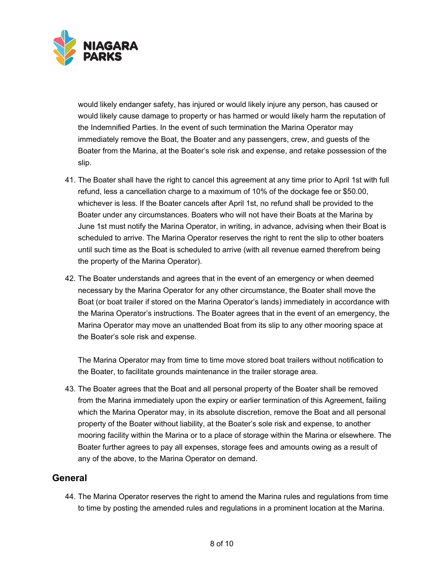

would likely endanger safety, has injured or would likely injure any person, has caused or would likely cause damage to property or has harmed or would likely harm the reputation of the Indemnified Parties. In the event of such termination the Marina Operator may immediately remove the Boat, the Boater and any passengers, crew, and guests of the Boater from the Marina, at the Boater's sole risk and expense, and retake possession of the slip.

- 41. The Boater shall have the right to cancel this agreement at any time prior to April 1st with full refund, less a cancellation charge to a maximum of 10% of the dockage fee or \$50.00, whichever is less. If the Boater cancels after April 1st, no refund shall be provided to the Boater under any circumstances. Boaters who will not have their Boats at the Marina by June 1st must notify the Marina Operator, in writing, in advance, advising when their Boat is scheduled to arrive. The Marina Operator reserves the right to rent the slip to other boaters until such time as the Boat is scheduled to arrive (with all revenue earned therefrom being the property of the Marina Operator).
- 42. The Boater understands and agrees that in the event of an emergency or when deemed necessary by the Marina Operator for any other circumstance, the Boater shall move the Boat (or boat trailer if stored on the Marina Operator's lands) immediately in accordance with the Marina Operator's instructions. The Boater agrees that in the event of an emergency, the Marina Operator may move an unattended Boat from its slip to any other mooring space at the Boater's sole risk and expense.

The Marina Operator may from time to time move stored boat trailers without notification to the Boater, to facilitate grounds maintenance in the trailer storage area.

43. The Boater agrees that the Boat and all personal property of the Boater shall be removed from the Marina immediately upon the expiry or earlier termination of this Agreement, failing which the Marina Operator may, in its absolute discretion, remove the Boat and all personal property of the Boater without liability, at the Boater's sole risk and expense, to another mooring facility within the Marina or to a place of storage within the Marina or elsewhere. The Boater further agrees to pay all expenses, storage fees and amounts owing as a result of any of the above, to the Marina Operator on demand.

### **General**

44. The Marina Operator reserves the right to amend the Marina rules and regulations from time to time by posting the amended rules and regulations in a prominent location at the Marina.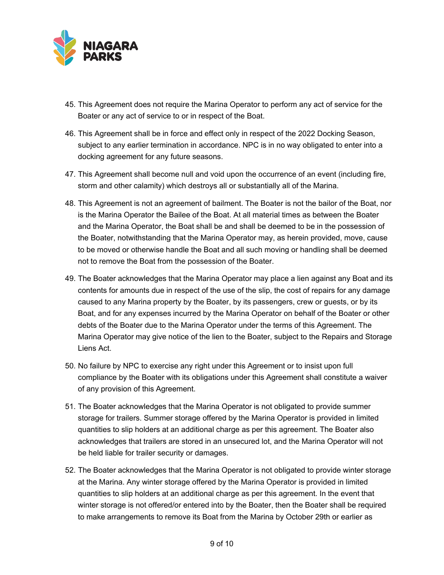

- 45. This Agreement does not require the Marina Operator to perform any act of service for the Boater or any act of service to or in respect of the Boat.
- 46. This Agreement shall be in force and effect only in respect of the 2022 Docking Season, subject to any earlier termination in accordance. NPC is in no way obligated to enter into a docking agreement for any future seasons.
- 47. This Agreement shall become null and void upon the occurrence of an event (including fire, storm and other calamity) which destroys all or substantially all of the Marina.
- 48. This Agreement is not an agreement of bailment. The Boater is not the bailor of the Boat, nor is the Marina Operator the Bailee of the Boat. At all material times as between the Boater and the Marina Operator, the Boat shall be and shall be deemed to be in the possession of the Boater, notwithstanding that the Marina Operator may, as herein provided, move, cause to be moved or otherwise handle the Boat and all such moving or handling shall be deemed not to remove the Boat from the possession of the Boater.
- 49. The Boater acknowledges that the Marina Operator may place a lien against any Boat and its contents for amounts due in respect of the use of the slip, the cost of repairs for any damage caused to any Marina property by the Boater, by its passengers, crew or guests, or by its Boat, and for any expenses incurred by the Marina Operator on behalf of the Boater or other debts of the Boater due to the Marina Operator under the terms of this Agreement. The Marina Operator may give notice of the lien to the Boater, subject to the Repairs and Storage Liens Act.
- 50. No failure by NPC to exercise any right under this Agreement or to insist upon full compliance by the Boater with its obligations under this Agreement shall constitute a waiver of any provision of this Agreement.
- 51. The Boater acknowledges that the Marina Operator is not obligated to provide summer storage for trailers. Summer storage offered by the Marina Operator is provided in limited quantities to slip holders at an additional charge as per this agreement. The Boater also acknowledges that trailers are stored in an unsecured lot, and the Marina Operator will not be held liable for trailer security or damages.
- 52. The Boater acknowledges that the Marina Operator is not obligated to provide winter storage at the Marina. Any winter storage offered by the Marina Operator is provided in limited quantities to slip holders at an additional charge as per this agreement. In the event that winter storage is not offered/or entered into by the Boater, then the Boater shall be required to make arrangements to remove its Boat from the Marina by October 29th or earlier as